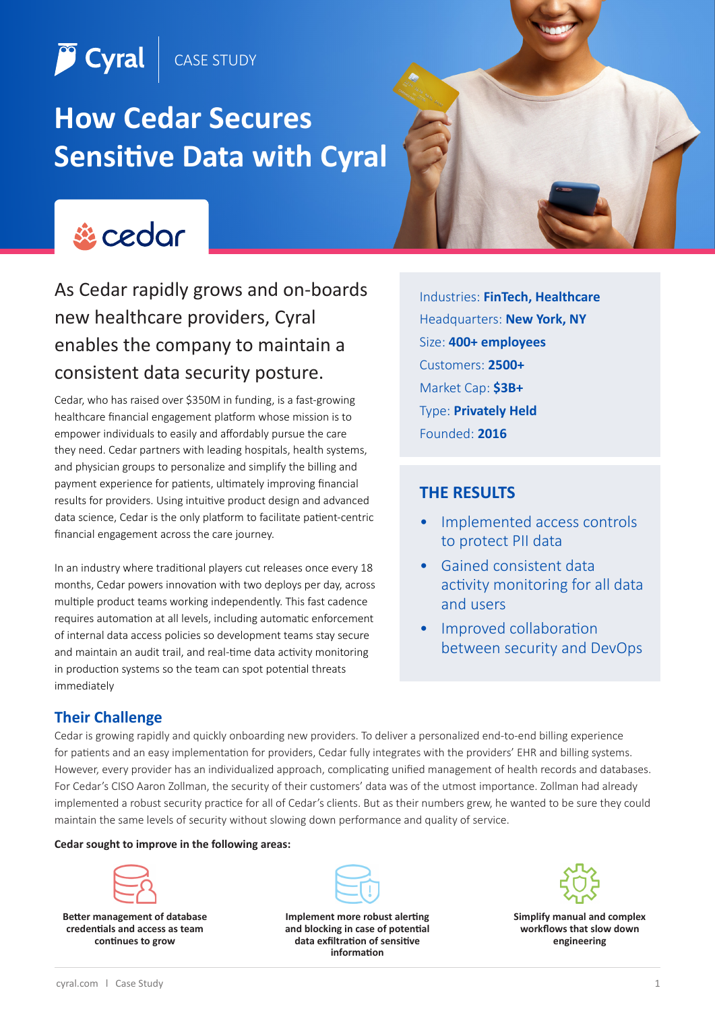CASE STUDY

# **How Cedar Secures Sensitive Data with Cyral**



**P** Cyral

As Cedar rapidly grows and on-boards new healthcare providers, Cyral enables the company to maintain a consistent data security posture.

Cedar, who has raised over \$350M in funding, is a fast-growing healthcare financial engagement platform whose mission is to empower individuals to easily and affordably pursue the care they need. Cedar partners with leading hospitals, health systems, and physician groups to personalize and simplify the billing and payment experience for patients, ultimately improving financial results for providers. Using intuitive product design and advanced data science, Cedar is the only platform to facilitate patient-centric financial engagement across the care journey.

In an industry where traditional players cut releases once every 18 months, Cedar powers innovation with two deploys per day, across multiple product teams working independently. This fast cadence requires automation at all levels, including automatic enforcement of internal data access policies so development teams stay secure and maintain an audit trail, and real-time data activity monitoring in production systems so the team can spot potential threats immediately

Industries: **FinTech, Healthcare** Headquarters: **New York, NY** Size: **400+ employees** Customers: **2500+** Market Cap: **\$3B+** Type: **Privately Held** Founded: **2016**

### **THE RESULTS**

- Implemented access controls to protect PII data
- Gained consistent data activity monitoring for all data and users
- Improved collaboration between security and DevOps

### **Their Challenge**

Cedar is growing rapidly and quickly onboarding new providers. To deliver a personalized end-to-end billing experience for patients and an easy implementation for providers, Cedar fully integrates with the providers' EHR and billing systems. However, every provider has an individualized approach, complicating unified management of health records and databases. For Cedar's CISO Aaron Zollman, the security of their customers' data was of the utmost importance. Zollman had already implemented a robust security practice for all of Cedar's clients. But as their numbers grew, he wanted to be sure they could maintain the same levels of security without slowing down performance and quality of service.

#### **Cedar sought to improve in the following areas:**



**Better management of database credentials and access as team continues to grow**



**Implement more robust alerting and blocking in case of potential data exfiltration of sensitive information**



**Simplify manual and complex workflows that slow down engineering**